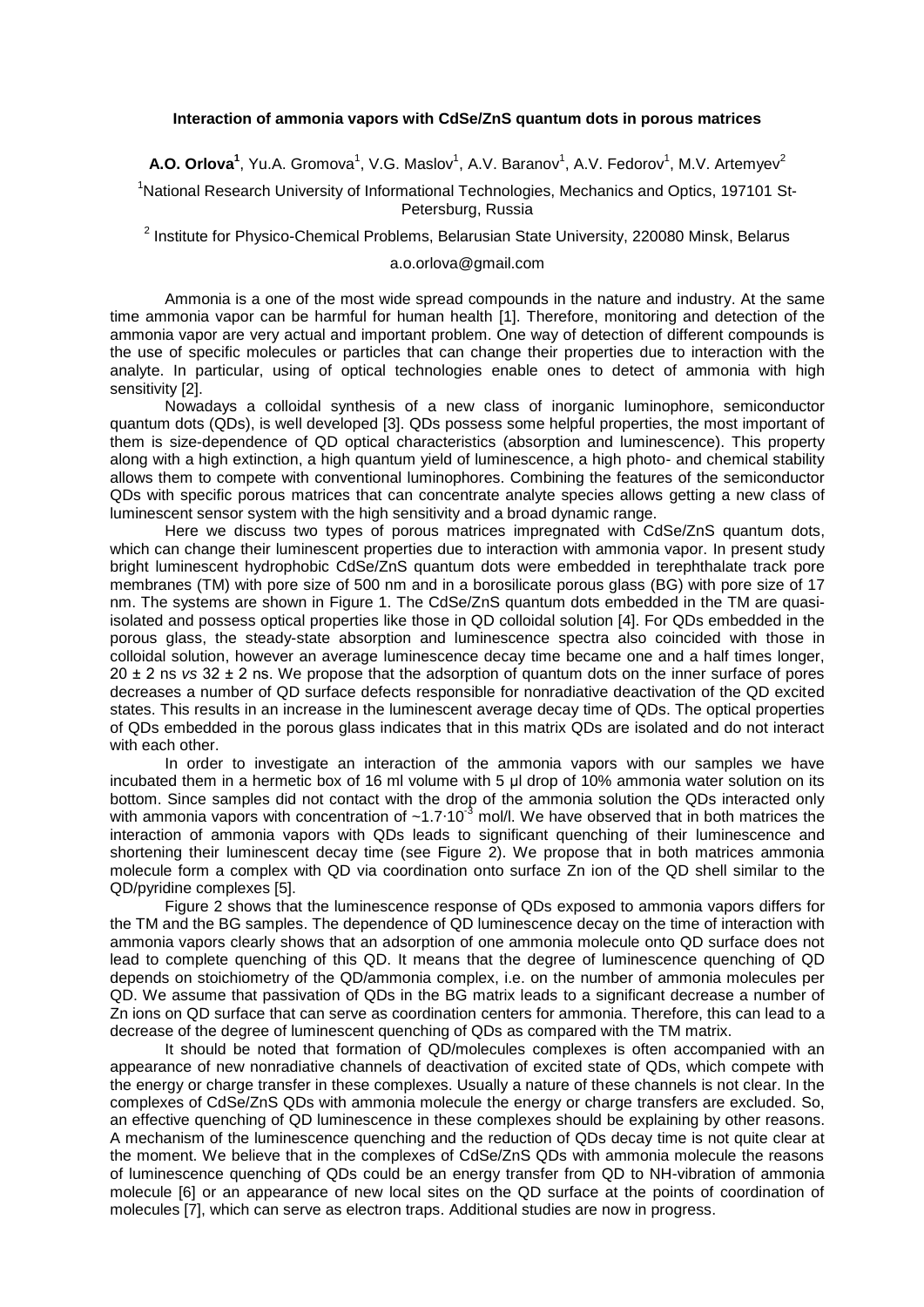## **Interaction of ammonia vapors with CdSe/ZnS quantum dots in porous matrices**

**A.O. Orlova<sup>1</sup>**, Yu.A. Gromova<sup>1</sup>, V.G. Maslov<sup>1</sup>, A.V. Baranov<sup>1</sup>, A.V. Fedorov<sup>1</sup>, M.V. Artemyev<sup>2</sup>

<sup>1</sup>National Research University of Informational Technologies, Mechanics and Optics, 197101 St-Petersburg, Russia

<sup>2</sup> Institute for Physico-Chemical Problems, Belarusian State University, 220080 Minsk, Belarus

## a.o.orlova@gmail.com

Ammonia is a one of the most wide spread compounds in the nature and industry. At the same time ammonia vapor can be harmful for human health [1]. Therefore, monitoring and detection of the ammonia vapor are very actual and important problem. One way of detection of different compounds is the use of specific molecules or particles that can change their properties due to interaction with the analyte. In particular, using of optical technologies enable ones to detect of ammonia with high sensitivity [2].

Nowadays a colloidal synthesis of a new class of inorganic luminophore, semiconductor quantum dots (QDs), is well developed [3]. QDs possess some helpful properties, the most important of them is size-dependence of QD optical characteristics (absorption and luminescence). This property along with a high extinction, a high quantum yield of luminescence, a high photo- and chemical stability allows them to compete with conventional luminophores. Combining the features of the semiconductor QDs with specific porous matrices that can concentrate analyte species allows getting a new class of luminescent sensor system with the high sensitivity and a broad dynamic range.

Here we discuss two types of porous matrices impregnated with CdSe/ZnS quantum dots, which can change their luminescent properties due to interaction with ammonia vapor. In present study bright luminescent hydrophobic CdSe/ZnS quantum dots were embedded in terephthalate track pore membranes (TM) with pore size of 500 nm and in a borosilicate porous glass (BG) with pore size of 17 nm. The systems are shown in Figure 1. The CdSe/ZnS quantum dots embedded in the TM are quasiisolated and possess optical properties like those in QD colloidal solution [4]. For QDs embedded in the porous glass, the steady-state absorption and luminescence spectra also coincided with those in colloidal solution, however an average luminescence decay time became one and a half times longer, 20 ± 2 ns *vs* 32 ± 2 ns. We propose that the adsorption of quantum dots on the inner surface of pores decreases a number of QD surface defects responsible for nonradiative deactivation of the QD excited states. This results in an increase in the luminescent average decay time of QDs. The optical properties of QDs embedded in the porous glass indicates that in this matrix QDs are isolated and do not interact with each other.

In order to investigate an interaction of the ammonia vapors with our samples we have incubated them in a hermetic box of 16 ml volume with 5 μl drop of 10% ammonia water solution on its bottom. Since samples did not contact with the drop of the ammonia solution the QDs interacted only with ammonia vapors with concentration of ~1.7⋅10<sup>-3</sup> mol/l. We have observed that in both matrices the interaction of ammonia vapors with QDs leads to significant quenching of their luminescence and shortening their luminescent decay time (see Figure 2). We propose that in both matrices ammonia molecule form a complex with QD via coordination onto surface Zn ion of the QD shell similar to the QD/pyridine complexes [5].

Figure 2 shows that the luminescence response of QDs exposed to ammonia vapors differs for the TM and the BG samples. The dependence of QD luminescence decay on the time of interaction with ammonia vapors clearly shows that an adsorption of one ammonia molecule onto QD surface does not lead to complete quenching of this QD. It means that the degree of luminescence quenching of QD depends on stoichiometry of the QD/ammonia complex, i.e. on the number of ammonia molecules per QD. We assume that passivation of QDs in the BG matrix leads to a significant decrease a number of Zn ions on QD surface that can serve as coordination centers for ammonia. Therefore, this can lead to a decrease of the degree of luminescent quenching of QDs as compared with the TM matrix.

It should be noted that formation of QD/molecules complexes is often accompanied with an appearance of new nonradiative channels of deactivation of excited state of QDs, which compete with the energy or charge transfer in these complexes. Usually a nature of these channels is not clear. In the complexes of CdSe/ZnS QDs with ammonia molecule the energy or charge transfers are excluded. So, an effective quenching of QD luminescence in these complexes should be explaining by other reasons. A mechanism of the luminescence quenching and the reduction of QDs decay time is not quite clear at the moment. We believe that in the complexes of CdSe/ZnS QDs with ammonia molecule the reasons of luminescence quenching of QDs could be an energy transfer from QD to NH-vibration of ammonia molecule [6] or an appearance of new local sites on the QD surface at the points of coordination of molecules [7], which can serve as electron traps. Additional studies are now in progress.